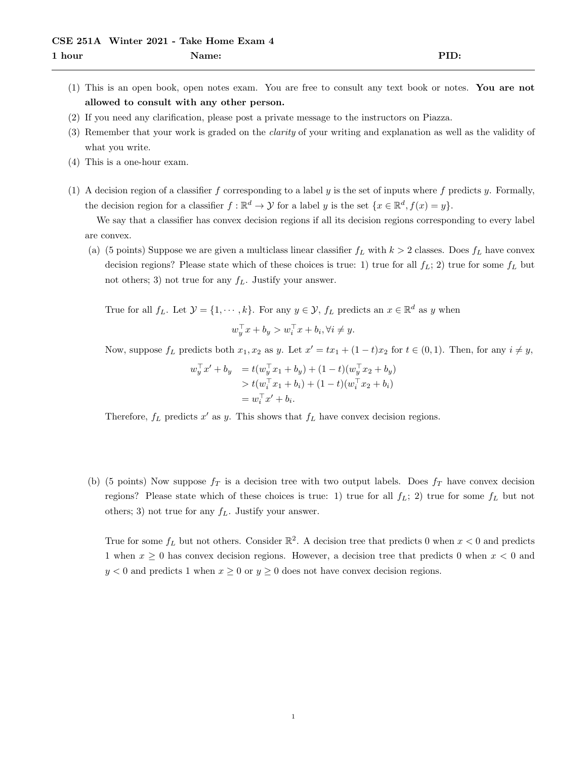- (1) This is an open book, open notes exam. You are free to consult any text book or notes. You are not allowed to consult with any other person.
- (2) If you need any clarification, please post a private message to the instructors on Piazza.
- (3) Remember that your work is graded on the clarity of your writing and explanation as well as the validity of what you write.
- (4) This is a one-hour exam.
- (1) A decision region of a classifier f corresponding to a label y is the set of inputs where f predicts y. Formally, the decision region for a classifier  $f : \mathbb{R}^d \to \mathcal{Y}$  for a label y is the set  $\{x \in \mathbb{R}^d, f(x) = y\}.$

We say that a classifier has convex decision regions if all its decision regions corresponding to every label are convex.

(a) (5 points) Suppose we are given a multiclass linear classifier  $f<sub>L</sub>$  with  $k > 2$  classes. Does  $f<sub>L</sub>$  have convex decision regions? Please state which of these choices is true: 1) true for all  $f_L$ ; 2) true for some  $f_L$  but not others; 3) not true for any  $f_L$ . Justify your answer.

True for all  $f_L$ . Let  $\mathcal{Y} = \{1, \dots, k\}$ . For any  $y \in \mathcal{Y}$ ,  $f_L$  predicts an  $x \in \mathbb{R}^d$  as y when

$$
w_y^\top x + b_y > w_i^\top x + b_i, \forall i \neq y.
$$

Now, suppose  $f_L$  predicts both  $x_1, x_2$  as y. Let  $x' = tx_1 + (1-t)x_2$  for  $t \in (0,1)$ . Then, for any  $i \neq y$ ,

$$
w_y^\top x' + b_y = t(w_y^\top x_1 + b_y) + (1 - t)(w_y^\top x_2 + b_y)
$$
  
> 
$$
t(w_i^\top x_1 + b_i) + (1 - t)(w_i^\top x_2 + b_i)
$$
  
= 
$$
w_i^\top x' + b_i.
$$

Therefore,  $f_L$  predicts  $x'$  as  $y$ . This shows that  $f_L$  have convex decision regions.

(b) (5 points) Now suppose  $f_T$  is a decision tree with two output labels. Does  $f_T$  have convex decision regions? Please state which of these choices is true: 1) true for all  $f_L$ ; 2) true for some  $f_L$  but not others; 3) not true for any  $f<sub>L</sub>$ . Justify your answer.

True for some  $f_L$  but not others. Consider  $\mathbb{R}^2$ . A decision tree that predicts 0 when  $x < 0$  and predicts 1 when  $x \ge 0$  has convex decision regions. However, a decision tree that predicts 0 when  $x < 0$  and  $y < 0$  and predicts 1 when  $x \ge 0$  or  $y \ge 0$  does not have convex decision regions.